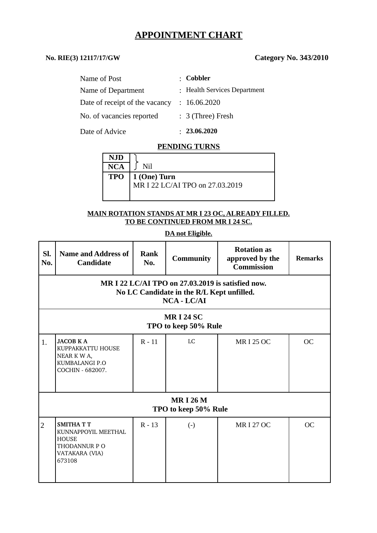# **APPOINTMENT CHART**

## **No. RIE(3) 12117/17/GW Category No. 343/2010**

| Name of Post                   | : Cobbler                    |
|--------------------------------|------------------------------|
| Name of Department             | : Health Services Department |
| Date of receipt of the vacancy | : 16.06.2020                 |
| No. of vacancies reported      | $: 3$ (Three) Fresh          |
| Date of Advice                 | : 23.06.2020                 |

#### **PENDING TURNS**

| NJD        |                                 |
|------------|---------------------------------|
| <b>NCA</b> | Nil                             |
|            | $TPO \mid 1$ (One) Turn         |
|            | MR I 22 LC/AI TPO on 27.03.2019 |
|            |                                 |

#### **MAIN ROTATION STANDS AT MR I 23 OC, ALREADY FILLED. TO BE CONTINUED FROM MR I 24 SC.**

### **DA not Eligible.**

| SI.<br>No.                                                                                                        | <b>Name and Address of</b><br><b>Candidate</b>                                                     | <b>Rank</b><br>No. | <b>Community</b>       | <b>Rotation as</b><br>approved by the<br><b>Commission</b> | <b>Remarks</b> |  |  |
|-------------------------------------------------------------------------------------------------------------------|----------------------------------------------------------------------------------------------------|--------------------|------------------------|------------------------------------------------------------|----------------|--|--|
| MR I 22 LC/AI TPO on 27.03.2019 is satisfied now.<br>No LC Candidate in the R/L Kept unfilled.<br>$NCA$ - $LC/AI$ |                                                                                                    |                    |                        |                                                            |                |  |  |
| <b>MRI 24 SC</b><br>TPO to keep 50% Rule                                                                          |                                                                                                    |                    |                        |                                                            |                |  |  |
| 1.                                                                                                                | <b>JACOB KA</b><br>KUPPAKKATTU HOUSE<br>NEAR K W A,<br>KUMBALANGI P.O<br>COCHIN - 682007.          | $R - 11$           | LC                     | <b>MRI 25 OC</b>                                           | OC             |  |  |
| <b>MRI 26 M</b><br>TPO to keep 50% Rule                                                                           |                                                                                                    |                    |                        |                                                            |                |  |  |
| $\overline{2}$                                                                                                    | <b>SMITHATT</b><br>KUNNAPPOYIL MEETHAL<br><b>HOUSE</b><br>THODANNUR PO<br>VATAKARA (VIA)<br>673108 | $R - 13$           | $\left( \cdot \right)$ | <b>MRI 27 OC</b>                                           | OC             |  |  |